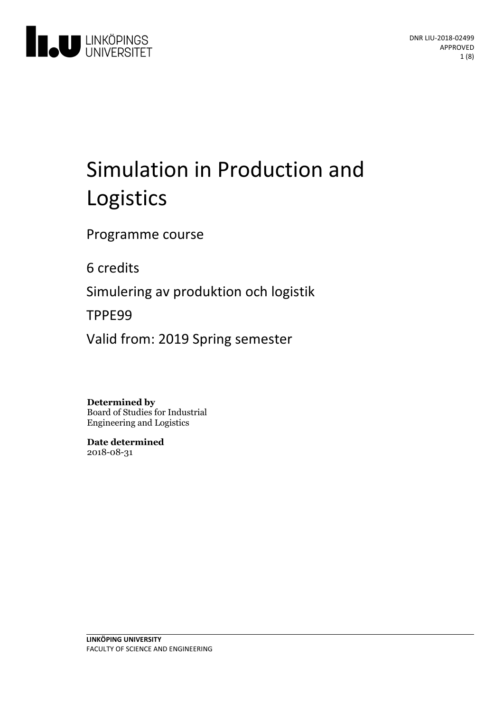

# Simulation in Production and Logistics

Programme course

6 credits

Simuleringav produktion och logistik

TPPE99

Valid from: 2019 Spring semester

**Determined by**

Board of Studies for Industrial Engineering and Logistics

**Date determined** 2018-08-31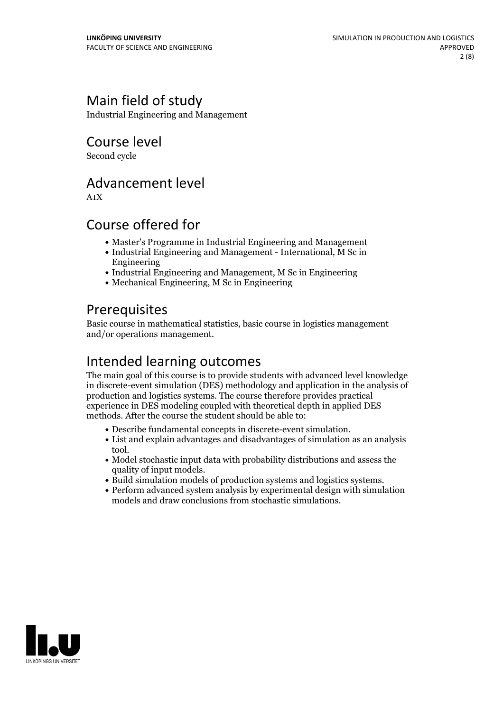# Main field of study

Industrial Engineering and Management

Course level

Second cycle

# Advancement level

A1X

# Course offered for

- Master's Programme in Industrial Engineering and Management
- Industrial Engineering and Management International, M Sc in Engineering
- Industrial Engineering and Management, M Sc in Engineering
- Mechanical Engineering, M Sc in Engineering

# **Prerequisites**

Basic course in mathematical statistics, basic course in logistics management and/or operations management.

# Intended learning outcomes

The main goal of this course is to provide students with advanced level knowledge in discrete-event simulation (DES) methodology and application in the analysis of production and logistics systems. The course therefore provides practical experience in DES modeling coupled with theoretical depth in applied DES methods. After the course the student should be able to:

- 
- Describe fundamental concepts in discrete-event simulation. List and explain advantages and disadvantages of simulation asan analysis tool.
- Model stochastic input data with probability distributions and assess the
- Build simulation models of production systems and logistics systems.<br>• Perform advanced system analysis by experimental design with simulation
- models and draw conclusions from stochastic simulations.

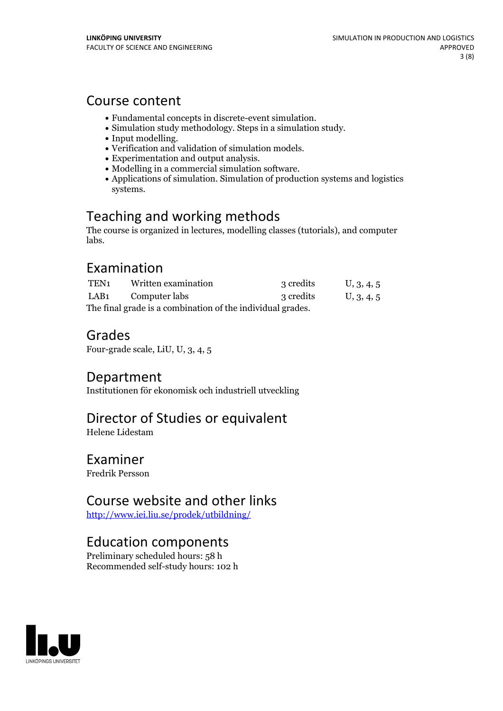### Course content

- 
- 
- 
- 
- 
- 
- Fundamental concepts in discrete-event simulation.<br>
Simulation study methodology. Steps in a simulation study.<br>
Input modelling.<br>
Verification and validation of simulation models.<br>
Experimentation and output anal systems.

# Teaching and working methods

The course is organized in lectures, modelling classes (tutorials), and computer labs.

### Examination

| TEN1                                                       | Written examination | 3 credits | U, 3, 4, 5 |
|------------------------------------------------------------|---------------------|-----------|------------|
| LAB1                                                       | Computer labs       | 3 credits | U, 3, 4, 5 |
| The final grade is a combination of the individual grades. |                     |           |            |

# Grades

Four-grade scale, LiU, U, 3, 4, 5

### Department

Institutionen för ekonomisk och industriell utveckling

# Director of Studies or equivalent

Helene Lidestam

### Examiner

Fredrik Persson

# Course website and other links

<http://www.iei.liu.se/prodek/utbildning/>

# Education components

Preliminary scheduled hours: 58 h Recommended self-study hours: 102 h

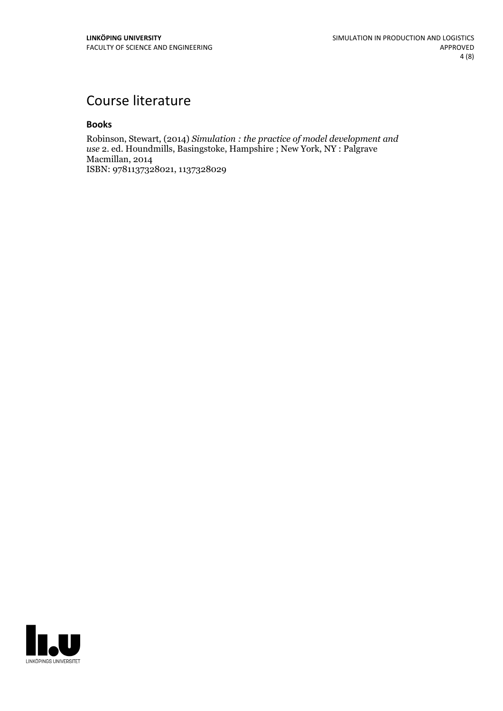# Course literature

### **Books**

Robinson, Stewart, (2014) *Simulation : the practice of model development and use* 2. ed. Houndmills, Basingstoke, Hampshire ; New York, NY : Palgrave Macmillan, 2014 ISBN: 9781137328021, 1137328029

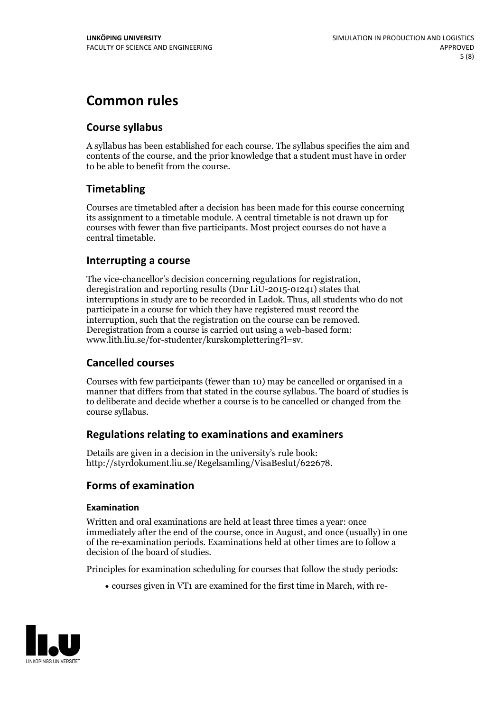# **Common rules**

### **Course syllabus**

A syllabus has been established for each course. The syllabus specifies the aim and contents of the course, and the prior knowledge that a student must have in order to be able to benefit from the course.

### **Timetabling**

Courses are timetabled after a decision has been made for this course concerning its assignment to a timetable module. A central timetable is not drawn up for courses with fewer than five participants. Most project courses do not have a central timetable.

### **Interrupting a course**

The vice-chancellor's decision concerning regulations for registration, deregistration and reporting results (Dnr LiU-2015-01241) states that interruptions in study are to be recorded in Ladok. Thus, all students who do not participate in a course for which they have registered must record the interruption, such that the registration on the course can be removed. Deregistration from <sup>a</sup> course is carried outusing <sup>a</sup> web-based form: www.lith.liu.se/for-studenter/kurskomplettering?l=sv.

### **Cancelled courses**

Courses with few participants (fewer than 10) may be cancelled or organised in a manner that differs from that stated in the course syllabus. The board of studies is to deliberate and decide whether a course is to be cancelled orchanged from the course syllabus.

### **Regulations relatingto examinations and examiners**

Details are given in a decision in the university's rule book: http://styrdokument.liu.se/Regelsamling/VisaBeslut/622678.

### **Forms of examination**

### **Examination**

Written and oral examinations are held at least three times a year: once immediately after the end of the course, once in August, and once (usually) in one of the re-examination periods. Examinations held at other times are to follow a decision of the board of studies.

Principles for examination scheduling for courses that follow the study periods:

courses given in VT1 are examined for the first time in March, with re-

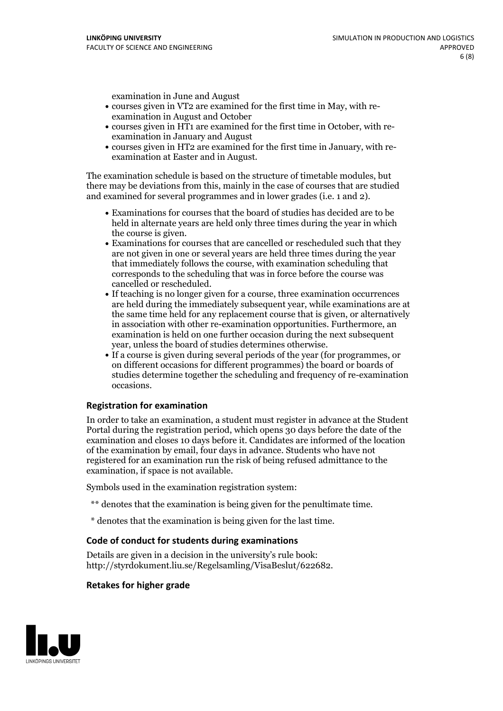examination in June and August

- courses given in VT2 are examined for the first time in May, with re-examination in August and October
- courses given in HT1 are examined for the first time in October, with re-examination in January and August
- courses given in HT2 are examined for the first time in January, with re-examination at Easter and in August.

The examination schedule is based on the structure of timetable modules, but there may be deviations from this, mainly in the case of courses that are studied and examined for several programmes and in lower grades (i.e. 1 and 2).

- Examinations for courses that the board of studies has decided are to be held in alternate years are held only three times during the year in which
- the course is given.<br>• Examinations for courses that are cancelled or rescheduled such that they are not given in one or several years are held three times during the year that immediately follows the course, with examination scheduling that corresponds to the scheduling that was in force before the course was cancelled or rescheduled.<br>• If teaching is no longer given for a course, three examination occurrences
- are held during the immediately subsequent year, while examinations are at the same time held for any replacement course that is given, or alternatively in association with other re-examination opportunities. Furthermore, an examination is held on one further occasion during the next subsequent year, unless the board of studies determines otherwise.<br>• If a course is given during several periods of the year (for programmes, or
- on different occasions for different programmes) the board orboards of studies determine together the scheduling and frequency of re-examination occasions.

#### **Registration for examination**

In order to take an examination, a student must register in advance at the Student Portal during the registration period, which opens 30 days before the date of the examination and closes 10 days before it. Candidates are informed of the location of the examination by email, four days in advance. Students who have not registered for an examination run the risk of being refused admittance to the examination, if space is not available.

Symbols used in the examination registration system:

- \*\* denotes that the examination is being given for the penultimate time.
- \* denotes that the examination is being given for the last time.

#### **Code of conduct for students during examinations**

Details are given in a decision in the university's rule book: http://styrdokument.liu.se/Regelsamling/VisaBeslut/622682.

### **Retakes for higher grade**

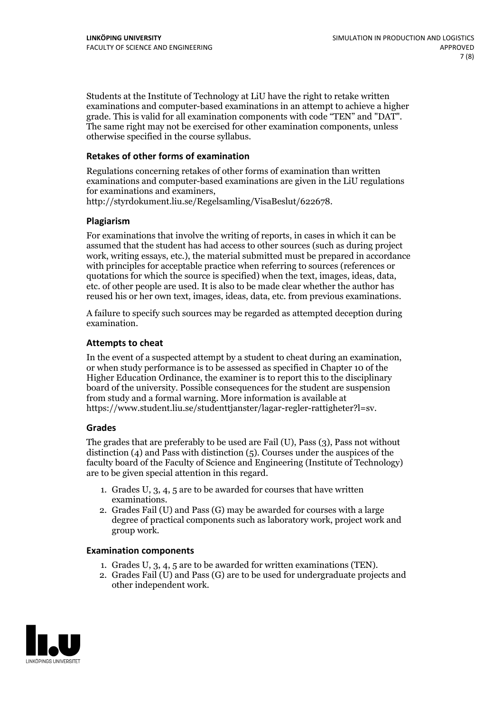Students at the Institute of Technology at LiU have the right to retake written examinations and computer-based examinations in an attempt to achieve a higher grade. This is valid for all examination components with code "TEN" and "DAT". The same right may not be exercised for other examination components, unless otherwise specified in the course syllabus.

### **Retakes of other forms of examination**

Regulations concerning retakes of other forms of examination than written examinations and computer-based examinations are given in the LiU regulations for examinations and examiners, http://styrdokument.liu.se/Regelsamling/VisaBeslut/622678.

#### **Plagiarism**

For examinations that involve the writing of reports, in cases in which it can be assumed that the student has had access to other sources (such as during project work, writing essays, etc.), the material submitted must be prepared in accordance with principles for acceptable practice when referring to sources (references or quotations for which the source is specified) when the text, images, ideas, data, etc. of other people are used. It is also to be made clear whether the author has reused his or her own text, images, ideas, data, etc. from previous examinations.

A failure to specify such sources may be regarded as attempted deception during examination.

#### **Attempts to cheat**

In the event of <sup>a</sup> suspected attempt by <sup>a</sup> student to cheat during an examination, or when study performance is to be assessed as specified in Chapter <sup>10</sup> of the Higher Education Ordinance, the examiner is to report this to the disciplinary board of the university. Possible consequences for the student are suspension from study and a formal warning. More information is available at https://www.student.liu.se/studenttjanster/lagar-regler-rattigheter?l=sv.

#### **Grades**

The grades that are preferably to be used are Fail (U), Pass (3), Pass not without distinction  $(4)$  and Pass with distinction  $(5)$ . Courses under the auspices of the faculty board of the Faculty of Science and Engineering (Institute of Technology) are to be given special attention in this regard.

- 1. Grades U, 3, 4, 5 are to be awarded for courses that have written
- examinations. 2. Grades Fail (U) and Pass (G) may be awarded for courses with <sup>a</sup> large degree of practical components such as laboratory work, project work and group work.

### **Examination components**

- 
- 1. Grades U, 3, 4, <sup>5</sup> are to be awarded for written examinations (TEN). 2. Grades Fail (U) and Pass (G) are to be used for undergraduate projects and other independent work.